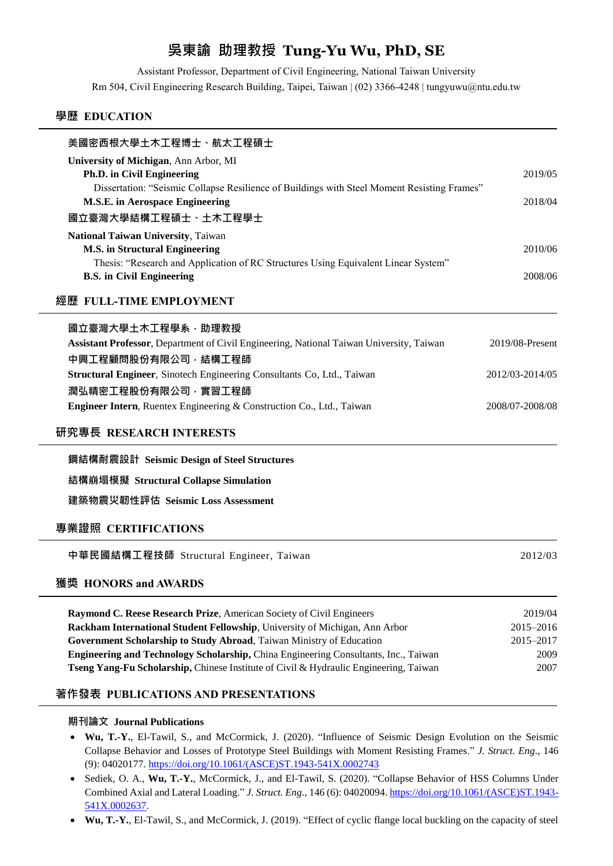# **吳東諭 助理教授 Tung-Yu Wu, PhD, SE**

Assistant Professor, Department of Civil Engineering, National Taiwan University Rm 504, Civil Engineering Research Building, Taipei, Taiwan | (02) 3366-4248 | tungyuwu@ntu.edu.tw

## **學歷 EDUCATION**

| 美國密西根大學土木工程博士、航太工程碩士                                                                                                                  |                 |
|---------------------------------------------------------------------------------------------------------------------------------------|-----------------|
| University of Michigan, Ann Arbor, MI                                                                                                 |                 |
| Ph.D. in Civil Engineering                                                                                                            | 2019/05         |
| Dissertation: "Seismic Collapse Resilience of Buildings with Steel Moment Resisting Frames"<br><b>M.S.E.</b> in Aerospace Engineering | 2018/04         |
|                                                                                                                                       |                 |
| 國立臺灣大學結構工程碩士、土木工程學士                                                                                                                   |                 |
| National Taiwan University, Taiwan<br><b>M.S. in Structural Engineering</b>                                                           | 2010/06         |
| Thesis: "Research and Application of RC Structures Using Equivalent Linear System"                                                    |                 |
| <b>B.S.</b> in Civil Engineering                                                                                                      | 2008/06         |
| 經歷 FULL-TIME EMPLOYMENT                                                                                                               |                 |
| 國立臺灣大學土木工程學系,助理教授                                                                                                                     |                 |
| Assistant Professor, Department of Civil Engineering, National Taiwan University, Taiwan                                              | 2019/08-Present |
| 中興工程顧問股份有限公司,結構工程師                                                                                                                    |                 |
| Structural Engineer, Sinotech Engineering Consultants Co, Ltd., Taiwan                                                                | 2012/03-2014/05 |
| 潤弘精密工程股份有限公司,實習工程師                                                                                                                    |                 |
| Engineer Intern, Ruentex Engineering & Construction Co., Ltd., Taiwan                                                                 | 2008/07-2008/08 |
| 研究專長 RESEARCH INTERESTS                                                                                                               |                 |
| 鋼結構耐震設計 Seismic Design of Steel Structures                                                                                            |                 |
| 結構崩塌模擬 Structural Collapse Simulation                                                                                                 |                 |
| 建築物震災韌性評估 Seismic Loss Assessment                                                                                                     |                 |
|                                                                                                                                       |                 |
| 專業證照 CERTIFICATIONS                                                                                                                   |                 |
| 中華民國結構工程技師 Structural Engineer, Taiwan                                                                                                | 2012/03         |
| 獲獎 HONORS and AWARDS                                                                                                                  |                 |
| Raymond C. Reese Research Prize, American Society of Civil Engineers                                                                  | 2019/04         |
| Rackham International Student Fellowship, University of Michigan, Ann Arbor                                                           | 2015-2016       |
| Government Scholarship to Study Abroad, Taiwan Ministry of Education                                                                  | 2015-2017       |
| Engineering and Technology Scholarship, China Engineering Consultants, Inc., Taiwan                                                   | 2009            |
| Tseng Yang-Fu Scholarship, Chinese Institute of Civil & Hydraulic Engineering, Taiwan                                                 | 2007            |

## **著作發表 PUBLICATIONS AND PRESENTATIONS**

#### **期刊論文 Journal Publications**

- **Wu, T.-Y.**, El-Tawil, S., and McCormick, J. (2020). "Influence of Seismic Design Evolution on the Seismic Collapse Behavior and Losses of Prototype Steel Buildings with Moment Resisting Frames." *J. Struct. Eng*., 146 (9): 04020177. [https://doi.org/10.1061/\(ASCE\)ST.1943-541X.0002743](https://doi.org/10.1061/(ASCE)ST.1943-541X.0002743)
- Sediek, O. A., **Wu, T.-Y.**, McCormick, J., and El-Tawil, S. (2020). "Collapse Behavior of HSS Columns Under Combined Axial and Lateral Loading." *J. Struct. Eng*., 146 (6): 04020094[. https://doi.org/10.1061/\(ASCE\)ST.1943-](https://doi.org/10.1061/(ASCE)ST.1943-541X.0002637) [541X.0002637.](https://doi.org/10.1061/(ASCE)ST.1943-541X.0002637)
- **Wu, T.-Y.**, El-Tawil, S., and McCormick, J. (2019). "Effect of cyclic flange local buckling on the capacity of steel